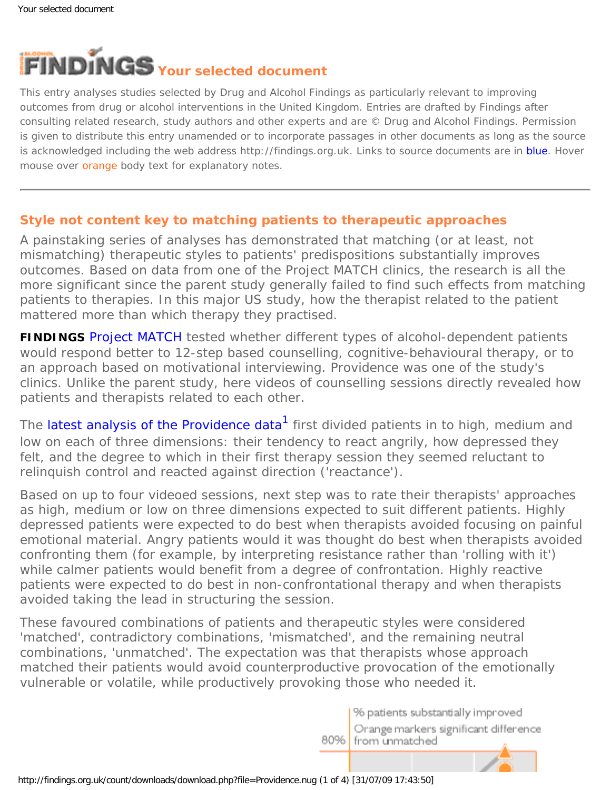

This entry analyses studies selected by Drug and Alcohol Findings as particularly relevant to improving outcomes from drug or alcohol interventions in the United Kingdom. Entries are drafted by Findings after consulting related research, study authors and other experts and are © Drug and Alcohol Findings. Permission is given to distribute this entry unamended or to incorporate passages in other documents as long as the source is acknowledged including the web address http://findings.org.uk. Links to source documents are in blue. Hover mouse over **orange** body text for explanatory notes.

## **Style not content key to matching patients to therapeutic approaches**

A painstaking series of analyses has demonstrated that matching (or at least, not *mis*matching) therapeutic styles to patients' predispositions substantially improves outcomes. Based on data from one of the Project MATCH clinics, the research is all the more significant since the parent study generally failed to find such effects from matching patients to therapies. In this major US study, how the therapist related to the patient mattered more than which therapy they practised.

**FINDINGS** [Project MATCH](https://findings.org.uk/count/downloads/download.php?file=Ashton_M_13.pdf) tested whether different types of alcohol-dependent patients would respond better to 12-step based counselling, cognitive-behavioural therapy, or to an approach based on motivational interviewing. Providence was one of the study's clinics. Unlike the parent study, here videos of counselling sessions directly revealed how patients and therapists related to each other.

The [latest analysis of the Providence data](http://dx.doi.org/10.1111/j.1360-0443.2007.01754.x)<sup>[1](#page-2-0)</sup> first divided patients in to high, medium and low on each of three dimensions: their tendency to react angrily, how depressed they felt, and the degree to which in their first therapy session they seemed reluctant to relinquish control and reacted against direction ('reactance').

Based on up to four videoed sessions, next step was to rate their therapists' approaches as high, medium or low on three dimensions expected to suit different patients. Highly depressed patients were expected to do best when therapists avoided focusing on painful emotional material. Angry patients would it was thought do best when therapists avoided confronting them (for example, by interpreting resistance rather than 'rolling with it') while calmer patients would benefit from a degree of confrontation. Highly reactive patients were expected to do best in non-confrontational therapy and when therapists avoided taking the lead in structuring the session.

These favoured combinations of patients and therapeutic styles were considered 'matched', contradictory combinations, 'mismatched', and the remaining neutral combinations, 'unmatched'. The expectation was that therapists whose approach matched their patients would avoid counterproductive provocation of the emotionally vulnerable or volatile, while productively provoking those who needed it.

> % patients substantially improved Orange markers significant difference 80% from unmatched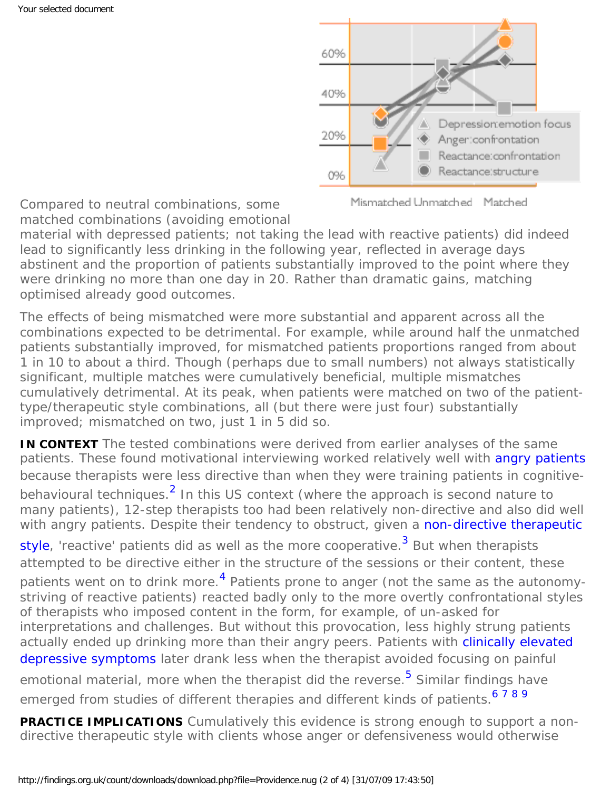

Mismatched Unmatched Matched

Compared to neutral combinations, some matched combinations (avoiding emotional

material with depressed patients; not taking the lead with reactive patients) did indeed lead to significantly less drinking in the following year, reflected in average days abstinent and the proportion of patients substantially improved to the point where they were drinking no more than one day in 20. Rather than dramatic gains, matching optimised already good outcomes.

The effects of being mismatched were more substantial and apparent across all the combinations expected to be detrimental. For example, while around half the unmatched patients substantially improved, for mismatched patients proportions ranged from about 1 in 10 to about a third. Though (perhaps due to small numbers) not always statistically significant, multiple matches were cumulatively beneficial, multiple mismatches cumulatively detrimental. At its peak, when patients were matched on two of the patienttype/therapeutic style combinations, all (but there were just four) substantially improved; mismatched on two, just 1 in 5 did so.

**IN CONTEXT** The tested combinations were derived from earlier analyses of the same patients. These found motivational interviewing worked relatively well with [angry patients](http://www.jsad.com/jsad/article/What_Do_We_Know_Process_Analysis_and_the_Search_for_a_Better_Understanding/1056.html) because therapists were less directive than when they were training patients in cognitivebehavioural techniques.<sup>2</sup> In this US context (where the approach is second nature to

many patients), 12-step therapists too had been relatively non-directive and also did well with angry patients. Despite their tendency to obstruct, given a [non-directive therapeutic](http://dx.doi.org/10.1037/0022-006X.73.2.262)

[style,](http://dx.doi.org/10.1037/0022-006X.73.2.262) 'reactive' patients did as well as the more cooperative.<sup>[3](#page-2-2)</sup> But when therapists attempted to be directive either in the structure of the sessions or their content, these patients went on to drink more.<sup>[4](#page-2-3)</sup> Patients prone to anger (not the same as the autonomystriving of reactive patients) reacted badly only to the more overtly confrontational styles of therapists who imposed content in the form, for example, of un-asked for interpretations and challenges. But without this provocation, less highly strung patients actually ended up drinking more than their angry peers. Patients with [clinically elevated](http://www.jsad.com/jsad/article/Patient_Depressive_Symptoms_and_Therapist_Focus_on_Emotional_Material_A_Ne/1140.html) [depressive symptoms](http://www.jsad.com/jsad/article/Patient_Depressive_Symptoms_and_Therapist_Focus_on_Emotional_Material_A_Ne/1140.html) later drank less when the therapist avoided focusing on painful emotional material, more when the therapist did the reverse.<sup>[5](#page-2-4)</sup> Similar findings have emerged from studies of different therapies and different kinds of patients.<sup>[6](#page-2-5)[7](#page-2-6)[8](#page-2-7)[9](#page-2-8)</sup>

**PRACTICE IMPLICATIONS** Cumulatively this evidence is strong enough to support a nondirective therapeutic style with clients whose anger or defensiveness would otherwise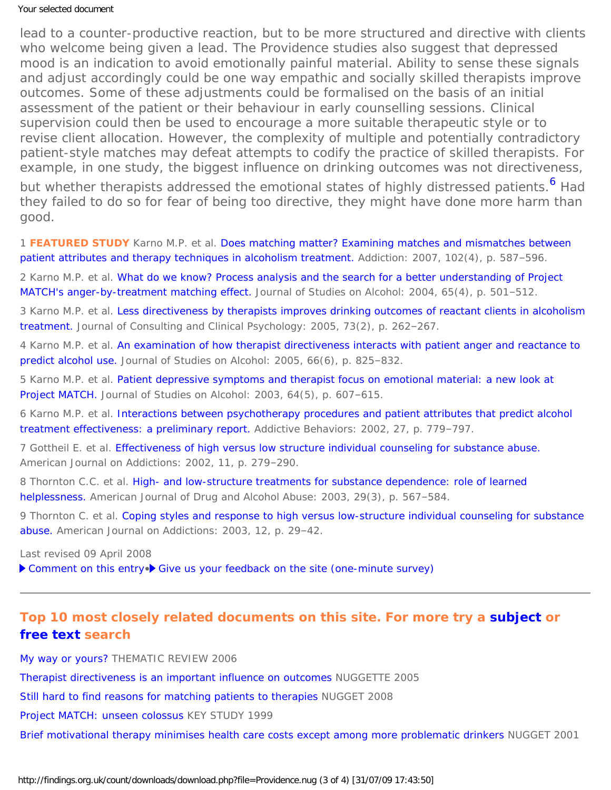## Your selected document

lead to a counter-productive reaction, but to be more structured and directive with clients who welcome being given a lead. The Providence studies also suggest that depressed mood is an indication to avoid emotionally painful material. Ability to sense these signals and adjust accordingly could be one way empathic and socially skilled therapists improve outcomes. Some of these adjustments could be formalised on the basis of an initial assessment of the patient or their behaviour in early counselling sessions. Clinical supervision could then be used to encourage a more suitable therapeutic style or to revise client allocation. However, the complexity of multiple and potentially contradictory patient-style matches may defeat attempts to codify the practice of skilled therapists. For example, in one study, the biggest influence on drinking outcomes was not directiveness, but whether therapists addressed the emotional states of highly distressed patients.<sup>[6](#page-2-5)</sup> Had they failed to do so for fear of being too directive, they might have done more harm than good.

<span id="page-2-0"></span>1 **FEATURED STUDY** Karno M.P. et al. [Does matching matter? Examining matches and mismatches between](http://dx.doi.org/10.1111/j.1360-0443.2007.01754.x)  [patient attributes and therapy techniques in alcoholism treatment.](http://dx.doi.org/10.1111/j.1360-0443.2007.01754.x) Addiction: 2007, 102(4), p. 587–596.

<span id="page-2-1"></span>2 Karno M.P. et al. [What do we know? Process analysis and the search for a better understanding of Project](http://www.jsad.com/jsad/article/What_Do_We_Know_Process_Analysis_and_the_Search_for_a_Better_Understanding/1056.html) [MATCH's anger-by-treatment matching effect.](http://www.jsad.com/jsad/article/What_Do_We_Know_Process_Analysis_and_the_Search_for_a_Better_Understanding/1056.html) Journal of Studies on Alcohol: 2004, 65(4), p. 501–512.

<span id="page-2-2"></span>3 Karno M.P. et al. Less directiveness by therapists improves drinking outcomes of reactant clients in alcoholism [treatment.](http://dx.doi.org/10.1037/0022-006X.73.2.262) Journal of Consulting and Clinical Psychology: 2005, 73(2), p. 262–267.

<span id="page-2-3"></span>4 Karno M.P. et al. [An examination of how therapist directiveness interacts with patient anger and reactance to](http://www.jsad.com/jsad/article/An_Examination_of_How_Therapist_Directiveness_Interacts_with_Patient_Anger_/937.html)  [predict alcohol use.](http://www.jsad.com/jsad/article/An_Examination_of_How_Therapist_Directiveness_Interacts_with_Patient_Anger_/937.html) Journal of Studies on Alcohol: 2005, 66(6), p. 825–832.

<span id="page-2-4"></span>5 Karno M.P. et al. [Patient depressive symptoms and therapist focus on emotional material: a new look at](http://www.jsad.com/jsad/article/Patient_Depressive_Symptoms_and_Therapist_Focus_on_Emotional_Material_A_Ne/1140.html) [Project MATCH.](http://www.jsad.com/jsad/article/Patient_Depressive_Symptoms_and_Therapist_Focus_on_Emotional_Material_A_Ne/1140.html) Journal of Studies on Alcohol: 2003, 64(5), p. 607-615.

<span id="page-2-5"></span>6 Karno M.P. et al. [Interactions between psychotherapy procedures and patient attributes that predict alcohol](http://dx.doi.org/10.1016/S0306-4603(01)00209-X)  [treatment effectiveness: a preliminary report.](http://dx.doi.org/10.1016/S0306-4603(01)00209-X) Addictive Behaviors: 2002, 27, p. 779–797.

<span id="page-2-6"></span>7 Gottheil E. et al. [Effectiveness of high versus low structure individual counseling for substance abuse.](http://dx.doi.org/10.1080/10550490290088081) American Journal on Addictions: 2002, 11, p. 279–290.

<span id="page-2-7"></span>8 Thornton C.C. et al. [High- and low-structure treatments for substance dependence: role of learned](http://dx.doi.org/10.1081/ADA-120023459) [helplessness.](http://dx.doi.org/10.1081/ADA-120023459) American Journal of Drug and Alcohol Abuse: 2003, 29(3), p. 567–584.

<span id="page-2-8"></span>9 Thornton C. et al. [Coping styles and response to high versus low-structure individual counseling for substance](http://dx.doi.org/10.1080/713869853) [abuse.](http://dx.doi.org/10.1080/713869853) American Journal on Addictions: 2003, 12, p. 29–42.

Last revised 09 April 2008

▶ [Comment on this entry](mailto:editor@findings.org.uk?Subject=Findings%20entry:%20Style%20not%20content%20key%20to%20matching%20patients%20to%20therapeutic%20approaches)•▶ [Give us your feedback on the site \(one-minute survey\)](http://www.surveymonkey.com/s.aspx?sm=uLBdmFvYFCjgwOQYnKu_2flA_3d_3d)

## **Top 10 most closely related documents on this site. For more try a [subject](https://findings.org.uk/doc-search.htm) or [free text](https://findings.org.uk/doc-search_free.htm) search**

[My way or yours?](https://findings.org.uk/count/downloads/download.php?file=Ashton_M_35.pdf) THEMATIC REVIEW 2006 [Therapist directiveness is an important influence on outcomes](https://findings.org.uk/count/downloads/download.php?file=nugg_12_5.pdf) NUGGETTE 2005 [Still hard to find reasons for matching patients to therapies](https://findings.org.uk/count/downloads/download.php?file=UKATT.nug) NUGGET 2008 [Project MATCH: unseen colossus](https://findings.org.uk/count/downloads/download.php?file=Ashton_M_13.pdf) KEY STUDY 1999 [Brief motivational therapy minimises health care costs except among more problematic drinkers](https://findings.org.uk/count/downloads/download.php?file=nug_5_3.pdf) NUGGET 2001